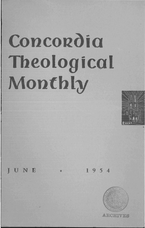# Concordia **Theological Monthly**



**JUNE**  $\cdot$  1954

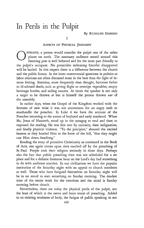## In Perils in the Pulpit

#### ASPECTS OF PHYSICAL JEOPARDY

FFHAND, a person would consider the pulpit one of the safest places on earth. The sanctuary audience seated around this listening post is well behaved and for the most part friendly to the pulpit's occupant. No projectiles indicating forceful disapproval will be hurled. In this respect there is a difference between the church and the public forum. In the latter controversial questions in politics or labor relations are often discussed more in the heat than the light of intense feeling. Emotion, more frequently than thought, becomes father to ill-advised deeds, such as giving flight to overripe vegetables, empty beverage bottles, and sailing saucers. At times the speaker is not only a target to be thrown *at* but is himself the person thrown *out* of the assembly.

In earlier days, when the Gospel of the Kingdom worked with the ferment of new wine it was not uncommon for an angry mob to manhandle the preacher. In Luke 4 we have the account of the Preacher returning to the scenes of boyhood and early manhood. When He, Jesus of Nazareth, stood up in the synagog to read and then to expound the reading, He was first met by curiosity, then indignation, and finally physical violence. "To the precipice," shouted the excited hearers as they hustled Him to the brow of the hill, "that they might cast Him down headlong."

Reading the story of primitive Christianity as continued in the Book of Acts, one again comes upon riots touched off by the preaching of St. Paul. People took their religion seriously in those days. Perhaps also the fact that public preaching then was not scheduled for a set place and for a definite forenoon hour on the Lord's day had something to do with audience reaction. In our civilization we have the popular institution of the Saturday night with an appeal to church members as well. Those who have fatigued themselves on Saturday night will be in no mood to start something on Sunday morning. The deadest time of the entire week for the emotions and the mind is Sunday morning before church.

Nevertheless, there are today the physical perils of the pulpit, not the least of which is the nerve and heart strain of preaching. Added to an existing weakness of body, the fatigue of public speaking in not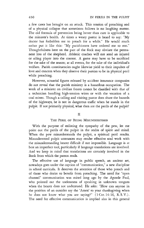a few cases has brought on an attack. This tension of preaching and of a physical collapse that sometimes follows is no laughing matter. The old formula of prevention being better than cure is applicable to the minister's health. At times a weary pastor is heard to say: "My doctor has forbidden me to preach for a while." He would much rather put it like this: "My parishioners have ordered me to rest." Thoughtfulness here on the part of the flock may obviate the permanent loss of the shepherd. Athletic coaches will not send an injured or ailing player into the contest. A game may have to be sacrificed for the sake of the season; at all events, for the sake of the individual's welfare. Parish constituencies ought likewise yield to their impulses of love and concern when they observe their pastors to be in physical peril while preaching.

However, actuarial figures released by accident insurance companies do not reveal that the parish ministry is a hazardous occupation. The work of a minister on civilian fronts cannot be classified with that of a technician handling high-tension wires or with the vocation of a coal miner. Though a calling and visiting pastor does share the hazards of the highways, he is not in dangerous traffic when he stands in the pulpit. If not primarily physical, what then are the perils of the pulpit?

#### II

#### THE PERIL OF BEING MISUNDERSTOOD

With the purpose of enlisting the sympathy of the pew, let me point out the perils of the pulpit in the realm of spirit and mind. When the pew misunderstands the pulpit, a spiritual peril results. Misunderstood pulpit utterances may render effective soul work with the misunderstanding hearer difficult if not impossible. Language is at best an imperfect tool, particularly if language translations are involved. And we keep in mind that translations are certainly involved in the Book from which the parson reads.

The effective use of language in public speech, an ancient art, nowadays goes under the caption of "communication," a new discipline in school curricula. It deserves the attention of those who preach and of those who desire to benefit from preaching. The need for "open channel" communication was stated long ago by the Apostle Paul, who pointed out the uselessness of speaking in unknown tongues when the hearer does not understand. He asks: "How can anyone in the position of an outsider say the 'Amen' to your thanksgiving when he does not know what you are saying?" (1 Cor. 14:16, R. S. V.). The need for effective communication is implied also in this general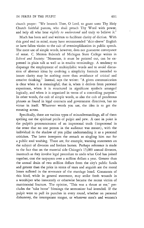church prayer: "We beseech Thee, 0 Lord, to grant unto Thy Holy Church faithful pastors, who shall preach Thy Word with power; and help all who hear *rightly to understand* and truly to believe it."

Much has been said and written to facilitate clarity of diction. With this good end in mind, many have recommended "shirt-sleeve" English or have fallen victim to the cult of oversimplification in public speech. The mere use of simple words, however, does not guarantee conveyance of sense. C. Merton Babcock of Michigan State College writes in *School and Society:* "Nonsense, it must be pointed out, can be expressed in plain talk as well as in erudite terminology. A tendency to disparage the employment of multisyllabic words and to avoid discussion of abstract ideas by evolving a simplicity formula intended to insure clarity may be nothing more than avoidance of critical and creative thinking." Instead, says the writer: "A given communication is clear when it is meaningful; that is, when it derives from personal experience, when it is structured in significant symbols arranged logically, and when it is organized in terms of a controlling purpose." In other words, the cult of simple words, as also the cult of ponderous phrases as found in legal contracts and government directives, has no virtue in itself. Whatever words you use, the idea is to get the meaning across.

Specifically, there are various types of misunderstandings, all of them spelling out the spiritual perils of pulpit and pew. A case in point is the pulpit's pronouncement of an impersonal truth (impersonal in the sense that no one person in the audience was meant), with the individual in the shadow of yon pillar understanding it as a personal criticism. The latter interprets the remark as singling him out for a public soul washing. There are, for example, warning statements on the subject of divorces and broken homes. Perhaps reference is made to the fact that on the material side Chicago's 15,000 annual divorces, inasmuch as they involve legal procedure to undo what God has joined together, cost the taxpayers over a million dollars a year. Greater than the annual drain of two million dollars from the city's public funds and greater than the price in terms of tears and anguish are the moral losses suffered in the severance of the marriage bond. Comments of this kind, while in general statement, may strike fresh wounds in a worshiper who innocently or otherwise became the recent victim of matrimonial fracture. The opinion, "This was a thrust at me," precludes the "take home" blessings the sermonizer had intended. If the pulpit were to pull its punches in every round, whether on personal dishonesty, the intemperate tongue, or whatever men's and women's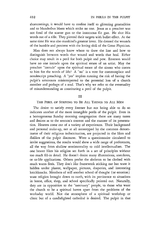shortcomings, it would have to confine itself to glittering generalities and to blunderbus blasts which strike no one. Jesus as a preacher was not fond of the scatter gun or the innocuous flit gun. He shot His words out of a rifle. They pierced their targets with bullet effect. At the same time He was also mankind's greatest lover. He dressed the wounds of the humble and penitent with the loving skill of the Great Physician.

Man does not always know where to draw the line and how to distinguish between words that wound and words that heal. Either choice may result in a peril for both pulpit and pew. Emerson would have no one intrude upon the spiritual estate of an artist. May the preacher "intrude" upon the spiritual estate of the sinner who comes to him for the words of life? A "no" is a vote for commonplace and nondescript preaching. A "yes" implies running the risk of having the pulpit's utterances misinterpreted to the potential loss of a church member and perhaps of a soul. That's why we refer to the eventuality of misunderstanding as constituting a peril of the pulpit.

#### III

#### THE PERIL OF STRIVING TO BE ALL THINGS TO ALL MEN

The desire to satisfy every listener but not being able to do so indicates another of the more intangible perils of the pulpit. Even in a homogeneous Sunday morning congregation there are many tastes and desires as to the sermon's content and the manner of its presentation. Hearers come out of a variety of experiences. Their background and personal make-up, not at all stereotyped by the common denominator of their religious indoctrination, are projected in the likes and dislikes of the pulpit discourse. Were a questionnaire circulated to invite suggestions, the results would show a wide range of preferences, all the way from shallow sentimentality to cold intellectualism. The one hearer likes his religion set forth in a set of principles without too much fill-in detaiL He doesn't desire many illustrations, anecdotes, or to-life applications. Others prefer the skeleton to be clothed with much warm flesh. They don't like framework sticking out but want it hidden under plaster, wallpaper, pictures, draperies, and interesting knickknacks. Members of still another school of thought (or emotion) want religion brought down to earth, with its pertinence to situations in home, office, shop, and school specifically pointed out. Naturally, they are in opposition to the "sanctuary" people, to those who want the church to be a spiritual haven apart from the problems of the workaday world. Not the atmosphere of a spiritual workshop or clinic but of a candlelighted cathedral is desired. The pulpit in that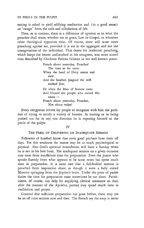setting is asked to yield edifying meditation and (in a good sense) an "escape" from the toils and tribulations of life.

Then, as to content, there is a difference of opinion as to what the preacher shall stress, whether sin or grace, Law or Gospel, or whatever other theological opposites exist. Of course, some will want more preaching against sin, provided it is sin in the aggregate and not the transgressions of the individual. This desire for irrelevant preaching, which keeps the hearer undisturbed in his smugness, was more scored than described by Charlotte Perkins Gilman in her well-known poem:

> Preach about yesterday, Preacher! The time so far away: When the hand of Deity smote and slew And the heathen plagued the stiffnecked Jew; Or when the Man of Sorrow came And blessed the people who cursed His name-Preach about yesterday, Preacher, Not about today!

Every clergyman invites lay people to recognize with him the problem of trying to satisfy a variety of hearers. In leaning or in being pushed too far in anyone direction he is exposing himself to the perils of the pulpit.

#### IV

#### THE PERIL OF DELIVERING AN INADEQUATE SERMON

Followers of baseball know that even good pitchers have their off days. For this weakness the reason may be as much psychological as physical. Also God's spiritual moundsman will have a Sunday when he is not in his best form. The inadequate sermon on a given occasion may stem from insufficient time for preparation. Even the pastor who speaks fluently from what appears to be scant notes has spent much time in preparation. It is most rare that a full-bodied sermon is preached from inspiration alone, as though it were a fully armed Minerva springing from the Jupiter's brain. Under the press of parish duties the time for preparation must sometimes be cut short. Parishioners, of course, can help by supplying clerical assistance so that, after the manner of the Apostles, pastors may spend much time in meditation and prayer.

Granted that sufficient preparation has gone before, there may yet be an off-color sermon now and then. The French say the soup is never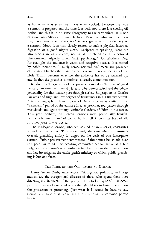as hot when it is served as it was when cooked. Between the time a sermon is prepared and the time it is delivered there is a cooling-off period, and this is in no sense derogatory to the sermonizer. It is one of those unpredictable human factors. Mood, or what in other eras may have been called "the spirit," is very germane to the delivery of a sermon. Mood is in turn closely related to such a physical factor as digestion or a good night's sleep. Reciprocally speaking, there are also moods in an audience, not at all unrelated to the emotional phenomenon vulgarily called "mob psychology." On Mother's Day, for example, the audience is warm and receptive because it is stirred by noble memories. It fairly comes forward and meets the preacher of the day. On the other hand, before a sermon on the doctrine of the Holy Trinity becomes effective, the audience has to be warmed up, and in that the preacher sometimes succeeds, sometimes not.

Kindred to the question of the preacher's mood is the psychological factor of an extended mental plateau. The human mind and the whole personality for that matter goes through cycles. Biographers of Charles Dickens find high and low degrees of fruitfulness in his literary output. A recent biographer referred to one of Dickens' books as written in the "wasteland" period of the author's life. A preacher, too, passes through wastelands and again through veritable Gardens of Eden in his career. This year, perhaps, his Lenten sermons were particularly fruitful. People tell him so, and of course he himself knows this best of all. In other years it was not so.

The inadequate sermon, whether isolated or in a series, constitutes a peril of the pulpit. This is definitely the case when a minister's over-all preaching ability is judged on the basis of one inadequate sermon. Pulpit procurement committees, if these must be, should bear this point in mind. The scouting committee cannot arrive at a fair judgment of a pastor's work unless it has heard more than one sermon and has investigated the entire parish ministry of which public preaching is but one facet.

 $\overline{V}$ 

### THE PERIL OF THE OCCUPATIONAL DISEASE

Henry Seidel Canby once wrote: "Arrogance, pedantry, and dogmatism are the occupational diseases of those who spend their lives directing the intellects of the young." It is to be expected that occupational disease of one kind or another should try to fasten itself upon the profession of preaching. Just what it is would be hard to say. Certainly a phase of it is "getting into a rut," as the common phrase has it.